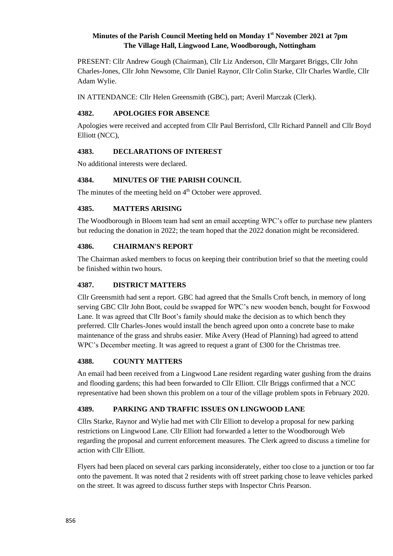# **Minutes of the Parish Council Meeting held on Monday 1 st November 2021 at 7pm The Village Hall, Lingwood Lane, Woodborough, Nottingham**

PRESENT: Cllr Andrew Gough (Chairman), Cllr Liz Anderson, Cllr Margaret Briggs, Cllr John Charles-Jones, Cllr John Newsome, Cllr Daniel Raynor, Cllr Colin Starke, Cllr Charles Wardle, Cllr Adam Wylie.

IN ATTENDANCE: Cllr Helen Greensmith (GBC), part; Averil Marczak (Clerk).

# **4382. APOLOGIES FOR ABSENCE**

Apologies were received and accepted from Cllr Paul Berrisford, Cllr Richard Pannell and Cllr Boyd Elliott (NCC),

# **4383. DECLARATIONS OF INTEREST**

No additional interests were declared.

# **4384. MINUTES OF THE PARISH COUNCIL**

The minutes of the meeting held on 4<sup>th</sup> October were approved.

## **4385. MATTERS ARISING**

The Woodborough in Bloom team had sent an email accepting WPC's offer to purchase new planters but reducing the donation in 2022; the team hoped that the 2022 donation might be reconsidered.

## **4386. CHAIRMAN'S REPORT**

The Chairman asked members to focus on keeping their contribution brief so that the meeting could be finished within two hours.

## **4387. DISTRICT MATTERS**

Cllr Greensmith had sent a report. GBC had agreed that the Smalls Croft bench, in memory of long serving GBC Cllr John Boot, could be swapped for WPC's new wooden bench, bought for Foxwood Lane. It was agreed that Cllr Boot's family should make the decision as to which bench they preferred. Cllr Charles-Jones would install the bench agreed upon onto a concrete base to make maintenance of the grass and shrubs easier. Mike Avery (Head of Planning) had agreed to attend WPC's December meeting. It was agreed to request a grant of £300 for the Christmas tree.

## **4388. COUNTY MATTERS**

An email had been received from a Lingwood Lane resident regarding water gushing from the drains and flooding gardens; this had been forwarded to Cllr Elliott. Cllr Briggs confirmed that a NCC representative had been shown this problem on a tour of the village problem spots in February 2020.

# **4389. PARKING AND TRAFFIC ISSUES ON LINGWOOD LANE**

Cllrs Starke, Raynor and Wylie had met with Cllr Elliott to develop a proposal for new parking restrictions on Lingwood Lane. Cllr Elliott had forwarded a letter to the Woodborough Web regarding the proposal and current enforcement measures. The Clerk agreed to discuss a timeline for action with Cllr Elliott.

Flyers had been placed on several cars parking inconsiderately, either too close to a junction or too far onto the pavement. It was noted that 2 residents with off street parking chose to leave vehicles parked on the street. It was agreed to discuss further steps with Inspector Chris Pearson.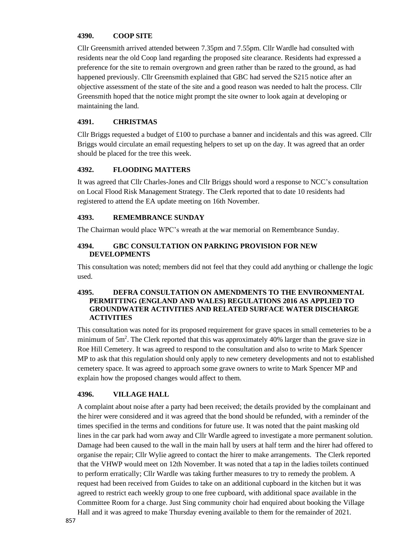## **4390. COOP SITE**

Cllr Greensmith arrived attended between 7.35pm and 7.55pm. Cllr Wardle had consulted with residents near the old Coop land regarding the proposed site clearance. Residents had expressed a preference for the site to remain overgrown and green rather than be razed to the ground, as had happened previously. Cllr Greensmith explained that GBC had served the S215 notice after an objective assessment of the state of the site and a good reason was needed to halt the process. Cllr Greensmith hoped that the notice might prompt the site owner to look again at developing or maintaining the land.

#### **4391. CHRISTMAS**

Cllr Briggs requested a budget of £100 to purchase a banner and incidentals and this was agreed. Cllr Briggs would circulate an email requesting helpers to set up on the day. It was agreed that an order should be placed for the tree this week.

## **4392. FLOODING MATTERS**

It was agreed that Cllr Charles-Jones and Cllr Briggs should word a response to NCC's consultation on Local Flood Risk Management Strategy. The Clerk reported that to date 10 residents had registered to attend the EA update meeting on 16th November.

#### **4393. REMEMBRANCE SUNDAY**

The Chairman would place WPC's wreath at the war memorial on Remembrance Sunday.

#### **4394. GBC CONSULTATION ON PARKING PROVISION FOR NEW DEVELOPMENTS**

This consultation was noted; members did not feel that they could add anything or challenge the logic used.

#### **4395. DEFRA CONSULTATION ON AMENDMENTS TO THE ENVIRONMENTAL PERMITTING (ENGLAND AND WALES) REGULATIONS 2016 AS APPLIED TO GROUNDWATER ACTIVITIES AND RELATED SURFACE WATER DISCHARGE ACTIVITIES**

This consultation was noted for its proposed requirement for grave spaces in small cemeteries to be a minimum of 5m<sup>2</sup>. The Clerk reported that this was approximately 40% larger than the grave size in Roe Hill Cemetery. It was agreed to respond to the consultation and also to write to Mark Spencer MP to ask that this regulation should only apply to new cemetery developments and not to established cemetery space. It was agreed to approach some grave owners to write to Mark Spencer MP and explain how the proposed changes would affect to them.

## **4396. VILLAGE HALL**

A complaint about noise after a party had been received; the details provided by the complainant and the hirer were considered and it was agreed that the bond should be refunded, with a reminder of the times specified in the terms and conditions for future use. It was noted that the paint masking old lines in the car park had worn away and Cllr Wardle agreed to investigate a more permanent solution. Damage had been caused to the wall in the main hall by users at half term and the hirer had offered to organise the repair; Cllr Wylie agreed to contact the hirer to make arrangements. The Clerk reported that the VHWP would meet on 12th November. It was noted that a tap in the ladies toilets continued to perform erratically; Cllr Wardle was taking further measures to try to remedy the problem. A request had been received from Guides to take on an additional cupboard in the kitchen but it was agreed to restrict each weekly group to one free cupboard, with additional space available in the Committee Room for a charge. Just Sing community choir had enquired about booking the Village

Hall and it was agreed to make Thursday evening available to them for the remainder of 2021.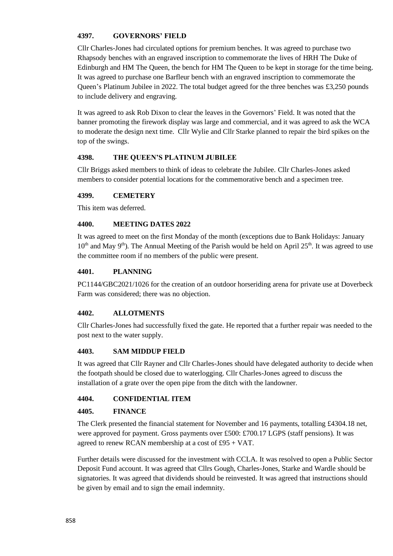# **4397. GOVERNORS' FIELD**

Cllr Charles-Jones had circulated options for premium benches. It was agreed to purchase two Rhapsody benches with an engraved inscription to commemorate the lives of HRH The Duke of Edinburgh and HM The Queen, the bench for HM The Queen to be kept in storage for the time being. It was agreed to purchase one Barfleur bench with an engraved inscription to commemorate the Queen's Platinum Jubilee in 2022. The total budget agreed for the three benches was £3,250 pounds to include delivery and engraving.

It was agreed to ask Rob Dixon to clear the leaves in the Governors' Field. It was noted that the banner promoting the firework display was large and commercial, and it was agreed to ask the WCA to moderate the design next time. Cllr Wylie and Cllr Starke planned to repair the bird spikes on the top of the swings.

## **4398. THE QUEEN'S PLATINUM JUBILEE**

Cllr Briggs asked members to think of ideas to celebrate the Jubilee. Cllr Charles-Jones asked members to consider potential locations for the commemorative bench and a specimen tree.

## **4399. CEMETERY**

This item was deferred.

# **4400. MEETING DATES 2022**

It was agreed to meet on the first Monday of the month (exceptions due to Bank Holidays: January  $10<sup>th</sup>$  and May 9<sup>th</sup>). The Annual Meeting of the Parish would be held on April 25<sup>th</sup>. It was agreed to use the committee room if no members of the public were present.

## **4401. PLANNING**

PC1144/GBC2021/1026 for the creation of an outdoor horseriding arena for private use at Doverbeck Farm was considered; there was no objection.

## **4402. ALLOTMENTS**

Cllr Charles-Jones had successfully fixed the gate. He reported that a further repair was needed to the post next to the water supply.

## **4403. SAM MIDDUP FIELD**

It was agreed that Cllr Rayner and Cllr Charles-Jones should have delegated authority to decide when the footpath should be closed due to waterlogging. Cllr Charles-Jones agreed to discuss the installation of a grate over the open pipe from the ditch with the landowner.

## **4404. CONFIDENTIAL ITEM**

## **4405. FINANCE**

The Clerk presented the financial statement for November and 16 payments, totalling £4304.18 net, were approved for payment. Gross payments over £500: £700.17 LGPS (staff pensions). It was agreed to renew RCAN membership at a cost of £95 + VAT.

Further details were discussed for the investment with CCLA. It was resolved to open a Public Sector Deposit Fund account. It was agreed that Cllrs Gough, Charles-Jones, Starke and Wardle should be signatories. It was agreed that dividends should be reinvested. It was agreed that instructions should be given by email and to sign the email indemnity.